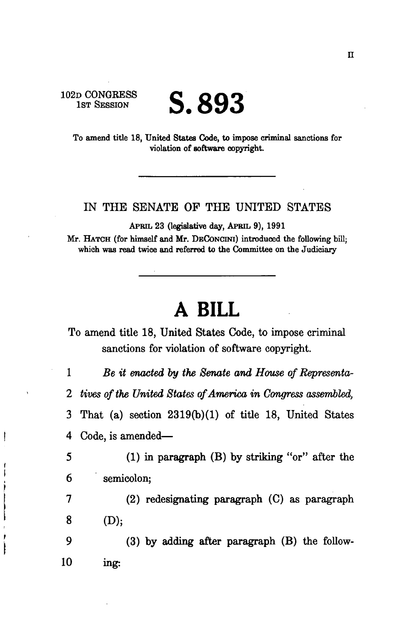102D CONGEESS 1ST SESSION

Į

ì

Ì I

## **S.893**

To amend title 18, United States Code, to impose criminal sanctions for violation of software copyright.

## IN THE SENATE OF THE UNITED STATES

APRIL 23 (legislative day, APRIL 9), 1991

Mr. HATCH (for himself and Mr. DECONCINI) introduced the following bill; which was read twice and referred to the Committee on the Judiciary

## **A BILL**

To amend title 18, United States Code, to impose criminal sanctions for violation of software copyright.

1 *Be it enacted by the Senate and House of Representa-2 tives of the United States of America in Congress assembled,*  3 That (a) section 2319(b)(1) of title 18, United States 4 Code, is amended—

5 (1) in paragraph (B) by striking "or" after the 6 semicolon;

7 (2) redesignating paragraph (C) as paragraph  $8$  (D);

9 (3) by adding after paragraph (B) the follow-10 ing: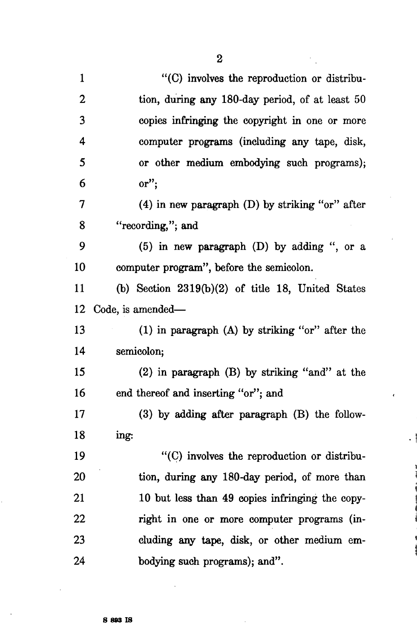$\overline{a}$ 

| $\mathbf 1$      | "(C) involves the reproduction or distribu-         |
|------------------|-----------------------------------------------------|
| $\overline{2}$   | tion, during any 180-day period, of at least 50     |
| 3                | copies infringing the copyright in one or more      |
| $\boldsymbol{4}$ | computer programs (including any tape, disk,        |
| 5                | or other medium embodying such programs);           |
| 6                | $or$ ";                                             |
| 7                | $(4)$ in new paragraph $(D)$ by striking "or" after |
| 8                | "recording,"; and                                   |
| 9                | $(5)$ in new paragraph $(D)$ by adding ", or a      |
| 10               | computer program", before the semicolon.            |
| 11               | (b) Section $2319(b)(2)$ of title 18, United States |
| 12               | Code, is amended—                                   |
| 13               | $(1)$ in paragraph $(A)$ by striking "or" after the |
| 14               | semicolon;                                          |
| 15               | $(2)$ in paragraph $(B)$ by striking "and" at the   |
| 16               | end thereof and inserting "or"; and                 |
| 17               | (3) by adding after paragraph (B) the follow-       |
| 18               | ing:                                                |
| 19               | "(C) involves the reproduction or distribu-         |
| 20               | tion, during any 180-day period, of more than       |
| 21               | 10 but less than 49 copies infringing the copy-     |
| 22               | right in one or more computer programs (in-         |
| 23               | cluding any tape, disk, or other medium em-         |
| 24               | bodying such programs); and".                       |